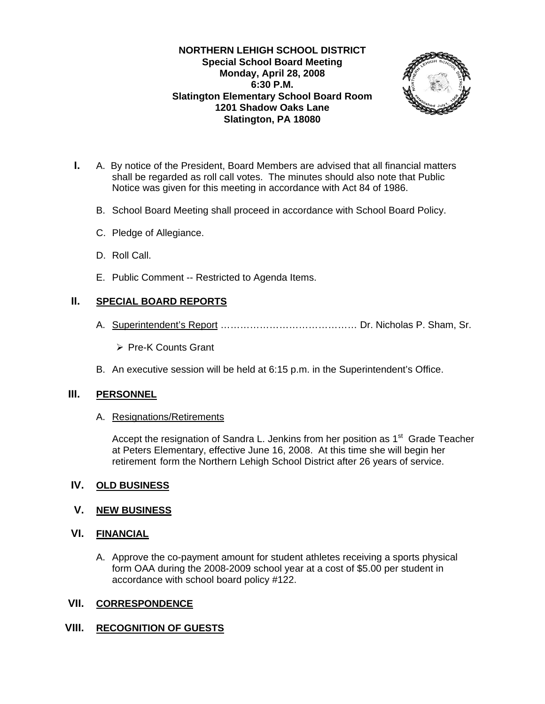#### **NORTHERN LEHIGH SCHOOL DISTRICT Special School Board Meeting Monday, April 28, 2008 6:30 P.M. Slatington Elementary School Board Room 1201 Shadow Oaks Lane Slatington, PA 18080**



- **I.** A. By notice of the President, Board Members are advised that all financial matters shall be regarded as roll call votes. The minutes should also note that Public Notice was given for this meeting in accordance with Act 84 of 1986.
	- B. School Board Meeting shall proceed in accordance with School Board Policy.
	- C. Pledge of Allegiance.
	- D. Roll Call.
	- E. Public Comment -- Restricted to Agenda Items.

## **II. SPECIAL BOARD REPORTS**

- A. Superintendent's Report …………………………………… Dr. Nicholas P. Sham, Sr.
	- ¾ Pre-K Counts Grant
- B. An executive session will be held at 6:15 p.m. in the Superintendent's Office.

### **III. PERSONNEL**

A. Resignations/Retirements

Accept the resignation of Sandra L. Jenkins from her position as  $1<sup>st</sup>$  Grade Teacher at Peters Elementary, effective June 16, 2008. At this time she will begin her retirement form the Northern Lehigh School District after 26 years of service.

### **IV. OLD BUSINESS**

### **V. NEW BUSINESS**

### **VI. FINANCIAL**

A. Approve the co-payment amount for student athletes receiving a sports physical form OAA during the 2008-2009 school year at a cost of \$5.00 per student in accordance with school board policy #122.

### **VII. CORRESPONDENCE**

### **VIII. RECOGNITION OF GUESTS**